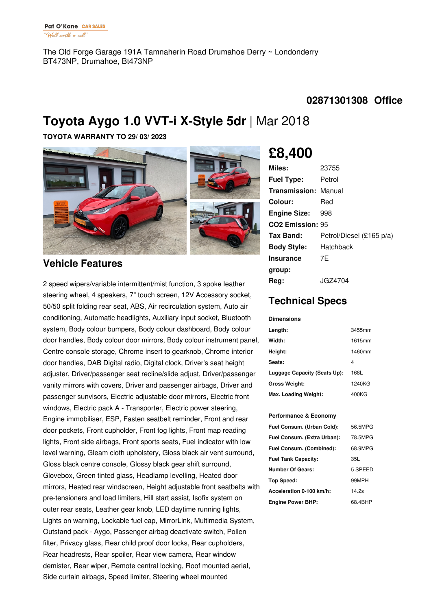The Old Forge Garage 191A Tamnaherin Road Drumahoe Derry ~ Londonderry BT473NP, Drumahoe, Bt473NP

### **02871301308 Office**

# **Toyota Aygo 1.0 VVT-i X-Style 5dr** |Mar 2018

**TOYOTA WARRANTY TO 29/ 03/ 2023**



### **Vehicle Features**

2 speed wipers/variable intermittent/mist function, 3 spoke leather steering wheel, 4 speakers, 7" touch screen, 12V Accessory socket, 50/50 split folding rear seat, ABS, Air recirculation system, Auto air conditioning, Automatic headlights, Auxiliary input socket, Bluetooth system, Body colour bumpers, Body colour dashboard, Body colour door handles, Body colour door mirrors, Body colour instrument panel, Centre console storage, Chrome insert to gearknob, Chrome interior door handles, DAB Digital radio, Digital clock, Driver's seat height adjuster, Driver/passenger seat recline/slide adjust, Driver/passenger vanity mirrors with covers, Driver and passenger airbags, Driver and passenger sunvisors, Electric adjustable door mirrors, Electric front windows, Electric pack A - Transporter, Electric power steering, Engine immobiliser, ESP, Fasten seatbelt reminder, Front and rear door pockets, Front cupholder, Front fog lights, Front map reading lights, Front side airbags, Front sports seats, Fuel indicator with low level warning, Gleam cloth upholstery, Gloss black air vent surround, Gloss black centre console, Glossy black gear shift surround, Glovebox, Green tinted glass, Headlamp levelling, Heated door mirrors, Heated rear windscreen, Height adjustable front seatbelts with pre-tensioners and load limiters, Hill start assist, Isofix system on outer rear seats, Leather gear knob, LED daytime running lights, Lights on warning, Lockable fuel cap, MirrorLink, Multimedia System, Outstand pack - Aygo, Passenger airbag deactivate switch, Pollen filter, Privacy glass, Rear child proof door locks, Rear cupholders, Rear headrests, Rear spoiler, Rear view camera, Rear window demister, Rear wiper, Remote central locking, Roof mounted aerial, Side curtain airbags, Speed limiter, Steering wheel mounted

## **£8,400**

| 23755                        |
|------------------------------|
| Petrol                       |
| <b>Transmission: Manual</b>  |
| Red                          |
| 998                          |
| CO <sub>2</sub> Emission: 95 |
| Petrol/Diesel (£165 p/a)     |
| Hatchback                    |
| 7F                           |
|                              |
| JGZ4704                      |
|                              |

## **Technical Specs**

#### **Dimensions**

| Length:                      | 3455mm |
|------------------------------|--------|
| Width:                       | 1615mm |
| Height:                      | 1460mm |
| Seats:                       | 4      |
| Luggage Capacity (Seats Up): | 168L   |
| <b>Gross Weight:</b>         | 1240KG |
| Max. Loading Weight:         | 400KG  |

#### **Performance & Economy**

| Fuel Consum. (Urban Cold):  | 56.5MPG |
|-----------------------------|---------|
| Fuel Consum. (Extra Urban): | 78.5MPG |
| Fuel Consum. (Combined):    | 68.9MPG |
| <b>Fuel Tank Capacity:</b>  | 35L     |
| <b>Number Of Gears:</b>     | 5 SPEED |
| Top Speed:                  | 99MPH   |
| Acceleration 0-100 km/h:    | 14.2s   |
| <b>Engine Power BHP:</b>    | 68.4BHP |